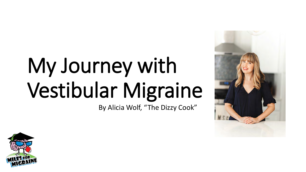# My Journey with Vestibular Migraine

By Alicia Wolf, "The Dizzy Cook"



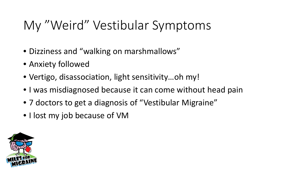## My "Weird" Vestibular Symptoms

- Dizziness and "walking on marshmallows"
- Anxiety followed
- Vertigo, disassociation, light sensitivity…oh my!
- I was misdiagnosed because it can come without head pain
- 7 doctors to get a diagnosis of "Vestibular Migraine"
- I lost my job because of VM

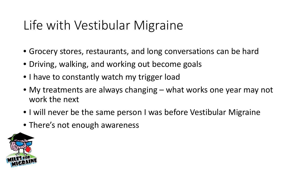### Life with Vestibular Migraine

- Grocery stores, restaurants, and long conversations can be hard
- Driving, walking, and working out become goals
- I have to constantly watch my trigger load
- My treatments are always changing what works one year may not work the next
- I will never be the same person I was before Vestibular Migraine
- There's not enough awareness

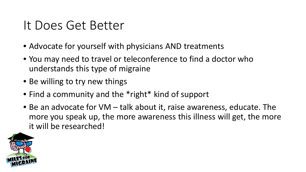#### It Does Get Better

- Advocate for yourself with physicians AND treatments
- You may need to travel or teleconference to find a doctor who understands this type of migraine
- Be willing to try new things
- Find a community and the \*right\* kind of support
- Be an advocate for VM talk about it, raise awareness, educate. The more you speak up, the more awareness this illness will get, the more it will be researched!